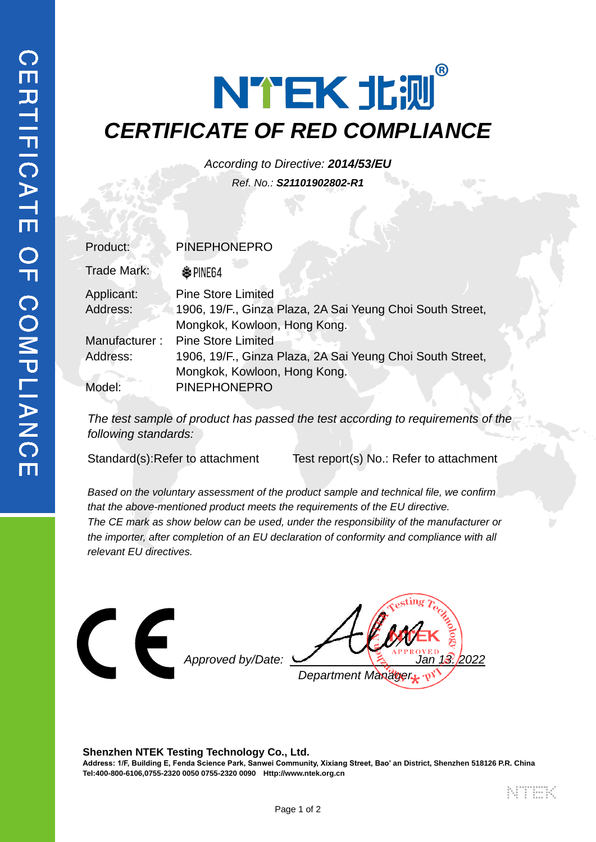## NTEK 北测 *CERTIFICATE OF RED COMPLIANCE*

*According to Directive: 2014/53/EU Ref. No.: S21101902802-R1*

| Product:      | <b>PINEPHONEPRO</b>                                       |  |
|---------------|-----------------------------------------------------------|--|
| Trade Mark:   | <b> ○ PINE64</b>                                          |  |
| Applicant:    | <b>Pine Store Limited</b>                                 |  |
| Address:      | 1906, 19/F., Ginza Plaza, 2A Sai Yeung Choi South Street, |  |
|               | Mongkok, Kowloon, Hong Kong.                              |  |
| Manufacturer: | <b>Pine Store Limited</b>                                 |  |
| Address:      | 1906, 19/F., Ginza Plaza, 2A Sai Yeung Choi South Street, |  |
|               | Mongkok, Kowloon, Hong Kong.                              |  |
| Model:        | <b>PINEPHONEPRO</b>                                       |  |

The test sample of product has passed the test according to requirements of the *following standards:*

Standard(s):Refer to attachment Test report(s) No.: Refer to attachment

*Based on the voluntary assessment of the product sample and technical file, we confirm that the above-mentioned product meets the requirements of the EU directive. The CE mark as show below can be used, under the responsibility of the manufacturer or the importer, after completion of an EU declaration of conformity and compliance with all relevant EU directives.*



**Shenzhen NTEK Testing Technology Co., Ltd. Address: 1/F, Building E, Fenda Science Park, Sanwei Community, Xixiang Street, Bao' an District, Shenzhen 518126 P.R. China Tel:400-800-6106,0755-2320 0050 0755-2320 0090 Http://www.ntek.org.cn**